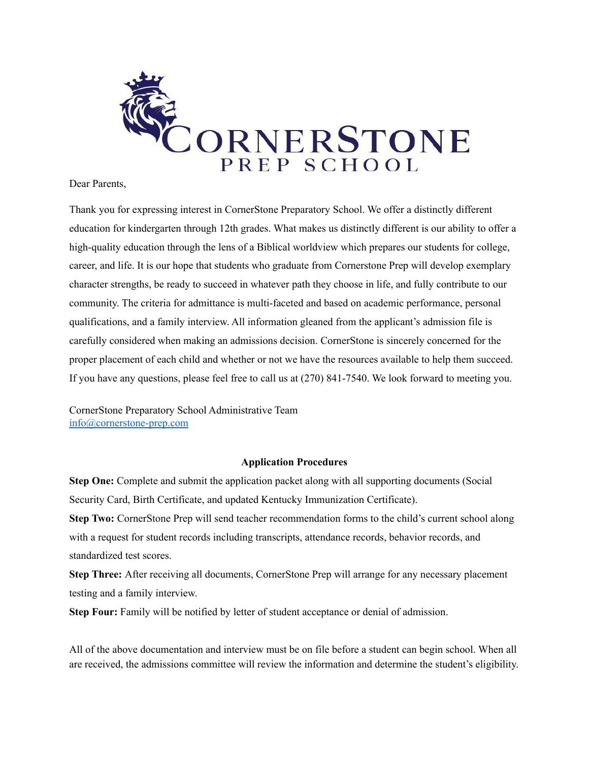

#### Dear Parents,

Thank you for expressing interest in CornerStone Preparatory School. We offer a distinctly different education for kindergarten through 12th grades. What makes us distinctly different is our ability to offer a high-quality education through the lens of a Biblical worldview which prepares our students for college, career, and life. It is our hope that students who graduate from Cornerstone Prep will develop exemplary character strengths, be ready to succeed in whatever path they choose in life, and fully contribute to our community. The criteria for admittance is multi-faceted and based on academic performance, personal qualifications, and a family interview. All information gleaned from the applicant's admission file is carefully considered when making an admissions decision. CornerStone is sincerely concerned for the proper placement of each child and whether or not we have the resources available to help them succeed. If you have any questions, please feel free to call us at (270) 841-7540. We look forward to meeting you.

CornerStone Preparatory School Administrative Team [info@cornerstone-prep.com](mailto:info@cornerstone-prep.com)

#### **Application Procedures**

**Step One:** Complete and submit the application packet along with all supporting documents (Social Security Card, Birth Certificate, and updated Kentucky Immunization Certificate).

**Step Two:** CornerStone Prep will send teacher recommendation forms to the child's current school along with a request for student records including transcripts, attendance records, behavior records, and standardized test scores.

**Step Three:** After receiving all documents, CornerStone Prep will arrange for any necessary placement testing and a family interview.

**Step Four:** Family will be notified by letter of student acceptance or denial of admission.

All of the above documentation and interview must be on file before a student can begin school. When all are received, the admissions committee will review the information and determine the student's eligibility.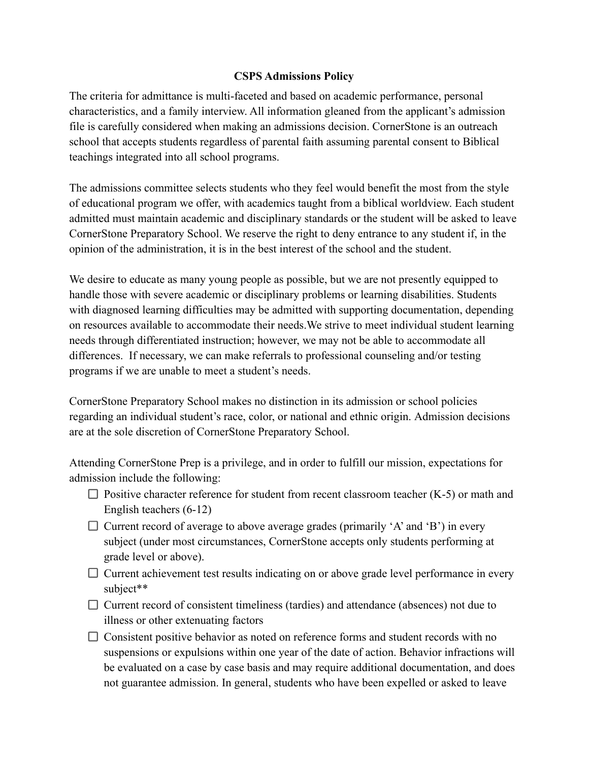## **CSPS Admissions Policy**

The criteria for admittance is multi-faceted and based on academic performance, personal characteristics, and a family interview. All information gleaned from the applicant's admission file is carefully considered when making an admissions decision. CornerStone is an outreach school that accepts students regardless of parental faith assuming parental consent to Biblical teachings integrated into all school programs.

The admissions committee selects students who they feel would benefit the most from the style of educational program we offer, with academics taught from a biblical worldview. Each student admitted must maintain academic and disciplinary standards or the student will be asked to leave CornerStone Preparatory School. We reserve the right to deny entrance to any student if, in the opinion of the administration, it is in the best interest of the school and the student.

We desire to educate as many young people as possible, but we are not presently equipped to handle those with severe academic or disciplinary problems or learning disabilities. Students with diagnosed learning difficulties may be admitted with supporting documentation, depending on resources available to accommodate their needs.We strive to meet individual student learning needs through differentiated instruction; however, we may not be able to accommodate all differences. If necessary, we can make referrals to professional counseling and/or testing programs if we are unable to meet a student's needs.

CornerStone Preparatory School makes no distinction in its admission or school policies regarding an individual student's race, color, or national and ethnic origin. Admission decisions are at the sole discretion of CornerStone Preparatory School.

Attending CornerStone Prep is a privilege, and in order to fulfill our mission, expectations for admission include the following:

- $\Box$  Positive character reference for student from recent classroom teacher (K-5) or math and English teachers (6-12)
- $\Box$  Current record of average to above average grades (primarily 'A' and 'B') in every subject (under most circumstances, CornerStone accepts only students performing at grade level or above).
- $\Box$  Current achievement test results indicating on or above grade level performance in every subject\*\*
- $\Box$  Current record of consistent timeliness (tardies) and attendance (absences) not due to illness or other extenuating factors
- $\Box$  Consistent positive behavior as noted on reference forms and student records with no suspensions or expulsions within one year of the date of action. Behavior infractions will be evaluated on a case by case basis and may require additional documentation, and does not guarantee admission. In general, students who have been expelled or asked to leave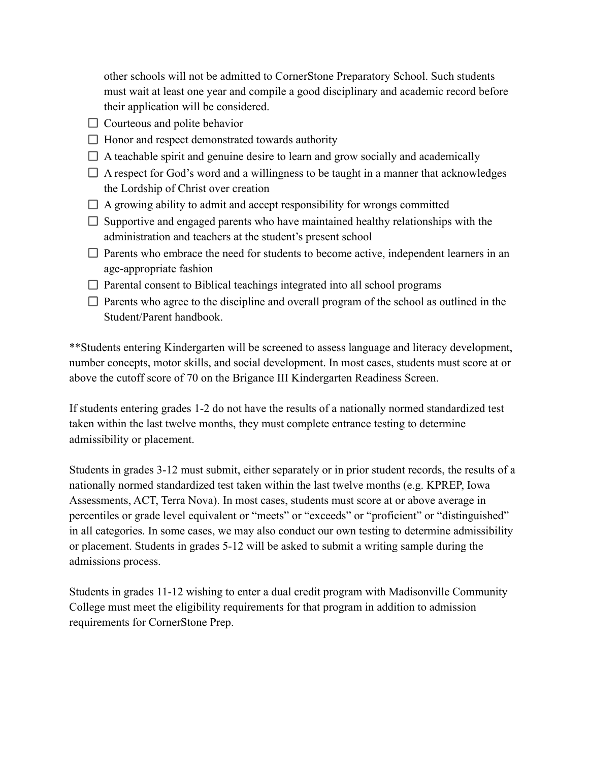other schools will not be admitted to CornerStone Preparatory School. Such students must wait at least one year and compile a good disciplinary and academic record before their application will be considered.

- $\Box$  Courteous and polite behavior
- $\Box$  Honor and respect demonstrated towards authority
- $\Box$  A teachable spirit and genuine desire to learn and grow socially and academically
- $\Box$  A respect for God's word and a willingness to be taught in a manner that acknowledges the Lordship of Christ over creation
- $\Box$  A growing ability to admit and accept responsibility for wrongs committed
- $\Box$  Supportive and engaged parents who have maintained healthy relationships with the administration and teachers at the student's present school
- $\Box$  Parents who embrace the need for students to become active, independent learners in an age-appropriate fashion
- $\Box$  Parental consent to Biblical teachings integrated into all school programs
- $\Box$  Parents who agree to the discipline and overall program of the school as outlined in the Student/Parent handbook.

\*\*Students entering Kindergarten will be screened to assess language and literacy development, number concepts, motor skills, and social development. In most cases, students must score at or above the cutoff score of 70 on the Brigance III Kindergarten Readiness Screen.

If students entering grades 1-2 do not have the results of a nationally normed standardized test taken within the last twelve months, they must complete entrance testing to determine admissibility or placement.

Students in grades 3-12 must submit, either separately or in prior student records, the results of a nationally normed standardized test taken within the last twelve months (e.g. KPREP, Iowa Assessments, ACT, Terra Nova). In most cases, students must score at or above average in percentiles or grade level equivalent or "meets" or "exceeds" or "proficient" or "distinguished" in all categories. In some cases, we may also conduct our own testing to determine admissibility or placement. Students in grades 5-12 will be asked to submit a writing sample during the admissions process.

Students in grades 11-12 wishing to enter a dual credit program with Madisonville Community College must meet the eligibility requirements for that program in addition to admission requirements for CornerStone Prep.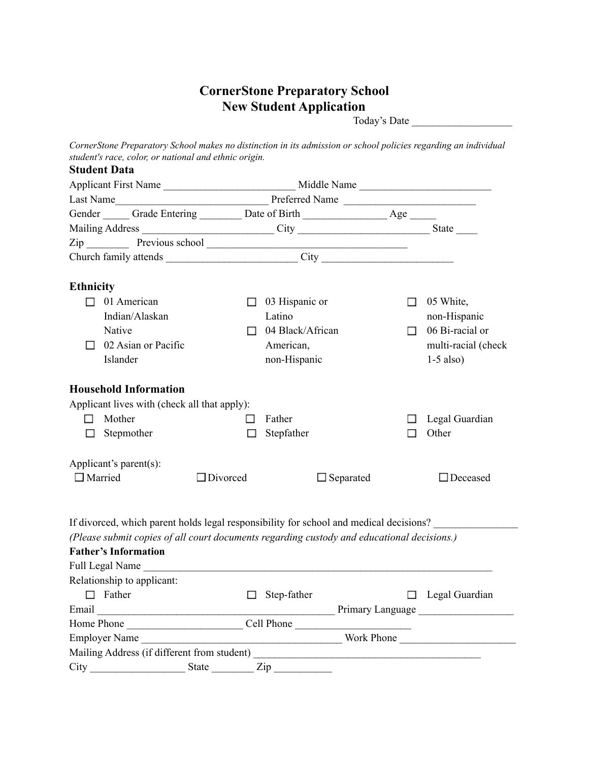# **CornerStone Preparatory School New Student Application**

Today's Date \_\_\_\_\_\_\_\_\_\_\_\_\_\_\_\_\_\_\_

*CornerStone Preparatory School makes no distinction in its admission or school policies regarding an individual student's race, color, or national and ethnic origin.*

| <b>Student Data</b>                                                                           |                 |                                                            |        |                       |
|-----------------------------------------------------------------------------------------------|-----------------|------------------------------------------------------------|--------|-----------------------|
| Applicant First Name                                                                          |                 |                                                            |        | Middle Name           |
|                                                                                               |                 |                                                            |        |                       |
| Gender _______ Grade Entering __________ Date of Birth __________________________ Age _______ |                 |                                                            |        |                       |
| Mailing Address ______________________________City _____________________________State ______  |                 |                                                            |        |                       |
|                                                                                               |                 |                                                            |        |                       |
|                                                                                               |                 |                                                            |        |                       |
| <b>Ethnicity</b>                                                                              |                 |                                                            |        |                       |
| $\Box$ 01 American                                                                            |                 | $\Box$ 03 Hispanic or                                      | П      | 05 White,             |
| Indian/Alaskan                                                                                |                 | Latino                                                     |        | non-Hispanic          |
| Native                                                                                        | $\Box$          | 04 Black/African                                           | $\Box$ | 06 Bi-racial or       |
| 02 Asian or Pacific<br>П                                                                      |                 | American,                                                  |        | multi-racial (check   |
| Islander                                                                                      |                 | non-Hispanic                                               |        | $1-5$ also)           |
| <b>Household Information</b>                                                                  |                 |                                                            |        |                       |
| Applicant lives with (check all that apply):                                                  |                 |                                                            |        |                       |
| Mother<br>П.                                                                                  | П               | Father                                                     | П      | Legal Guardian        |
| Stepmother<br>П                                                                               | □               | Stepfather                                                 | □      | Other                 |
| Applicant's parent(s):                                                                        |                 |                                                            |        |                       |
| $\Box$ Married                                                                                | $\Box$ Divorced | $\Box$ Separated                                           |        | $\Box$ Deceased       |
| If divorced, which parent holds legal responsibility for school and medical decisions?        |                 |                                                            |        |                       |
| (Please submit copies of all court documents regarding custody and educational decisions.)    |                 |                                                            |        |                       |
| <b>Father's Information</b>                                                                   |                 |                                                            |        |                       |
| Full Legal Name                                                                               |                 |                                                            |        |                       |
| Relationship to applicant:                                                                    |                 | <u> 1980 - John Stein, Amerikaansk politiker (</u> † 1920) |        |                       |
| $\Box$ Father                                                                                 |                 | $\Box$ Step-father                                         |        | $\Box$ Legal Guardian |
| Email Primary Language                                                                        |                 |                                                            |        |                       |
| Home Phone Cell Phone                                                                         |                 |                                                            |        |                       |
| Employer Name                                                                                 |                 |                                                            |        | Work Phone            |
| Mailing Address (if different from student)                                                   |                 |                                                            |        |                       |

 $City$   $$$$zip$   $xip$$$$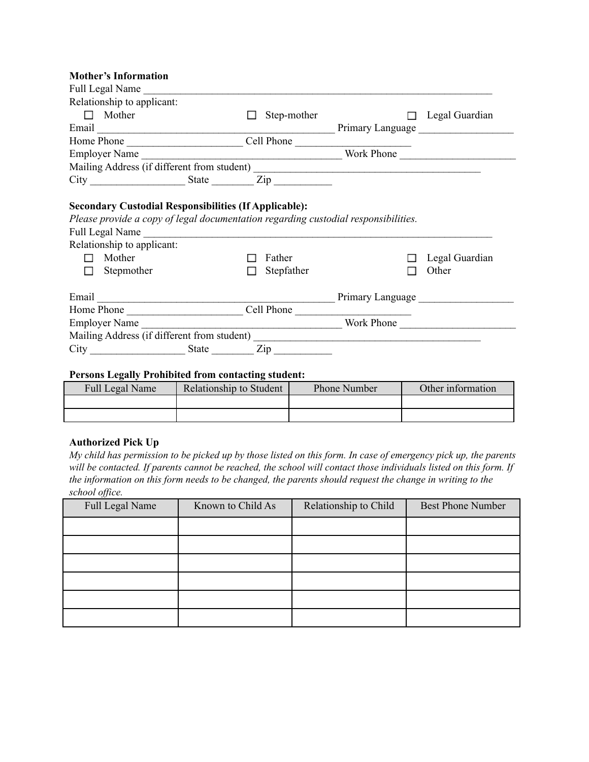#### **Mother's Information**

| Full Legal Name                                                                                                                            |                                                                                                                      |                  |                |
|--------------------------------------------------------------------------------------------------------------------------------------------|----------------------------------------------------------------------------------------------------------------------|------------------|----------------|
| Relationship to applicant:                                                                                                                 |                                                                                                                      |                  |                |
| $\Box$ Mother                                                                                                                              | Step-mother<br>П                                                                                                     | $\Box$           | Legal Guardian |
|                                                                                                                                            |                                                                                                                      |                  |                |
|                                                                                                                                            |                                                                                                                      |                  |                |
|                                                                                                                                            |                                                                                                                      |                  |                |
|                                                                                                                                            |                                                                                                                      |                  |                |
|                                                                                                                                            |                                                                                                                      |                  |                |
| Please provide a copy of legal documentation regarding custodial responsibilities.<br><b>Full Legal Name</b><br>Relationship to applicant: |                                                                                                                      |                  |                |
| Mother<br>П                                                                                                                                | Father                                                                                                               |                  | Legal Guardian |
| Stepmother<br>П                                                                                                                            | Stepfather<br><b>Tall</b>                                                                                            |                  | Other          |
|                                                                                                                                            |                                                                                                                      | Primary Language |                |
|                                                                                                                                            |                                                                                                                      |                  |                |
| <b>Employer Name</b>                                                                                                                       |                                                                                                                      | Work Phone       |                |
|                                                                                                                                            |                                                                                                                      |                  |                |
|                                                                                                                                            | <u> 1989 - Jan Stein Stein Stein Stein Stein Stein Stein Stein Stein Stein Stein Stein Stein Stein Stein Stein S</u> |                  |                |

#### **Persons Legally Prohibited from contacting student:**

| Full Legal Name | Relationship to Student | <b>Phone Number</b> | Other information |
|-----------------|-------------------------|---------------------|-------------------|
|                 |                         |                     |                   |
|                 |                         |                     |                   |

#### **Authorized Pick Up**

*My child has permission to be picked up by those listed on this form. In case of emergency pick up, the parents will be contacted. If parents cannot be reached, the school will contact those individuals listed on this form. If the information on this form needs to be changed, the parents should request the change in writing to the school office.*

| Full Legal Name | Known to Child As | Relationship to Child | <b>Best Phone Number</b> |
|-----------------|-------------------|-----------------------|--------------------------|
|                 |                   |                       |                          |
|                 |                   |                       |                          |
|                 |                   |                       |                          |
|                 |                   |                       |                          |
|                 |                   |                       |                          |
|                 |                   |                       |                          |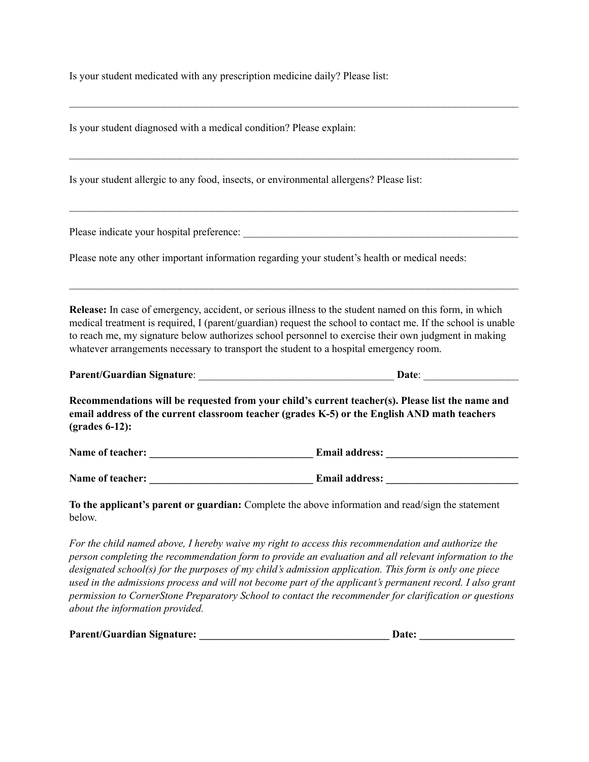Is your student medicated with any prescription medicine daily? Please list:

Is your student diagnosed with a medical condition? Please explain:  $\mathcal{L}_\text{max} = \mathcal{L}_\text{max} = \mathcal{L}_\text{max} = \mathcal{L}_\text{max} = \mathcal{L}_\text{max} = \mathcal{L}_\text{max} = \mathcal{L}_\text{max} = \mathcal{L}_\text{max} = \mathcal{L}_\text{max} = \mathcal{L}_\text{max} = \mathcal{L}_\text{max} = \mathcal{L}_\text{max} = \mathcal{L}_\text{max} = \mathcal{L}_\text{max} = \mathcal{L}_\text{max} = \mathcal{L}_\text{max} = \mathcal{L}_\text{max} = \mathcal{L}_\text{max} = \mathcal{$ Is your student allergic to any food, insects, or environmental allergens? Please list:  $\mathcal{L}_\text{max} = \mathcal{L}_\text{max} = \mathcal{L}_\text{max} = \mathcal{L}_\text{max} = \mathcal{L}_\text{max} = \mathcal{L}_\text{max} = \mathcal{L}_\text{max} = \mathcal{L}_\text{max} = \mathcal{L}_\text{max} = \mathcal{L}_\text{max} = \mathcal{L}_\text{max} = \mathcal{L}_\text{max} = \mathcal{L}_\text{max} = \mathcal{L}_\text{max} = \mathcal{L}_\text{max} = \mathcal{L}_\text{max} = \mathcal{L}_\text{max} = \mathcal{L}_\text{max} = \mathcal{$ Please indicate your hospital preference: Please note any other important information regarding your student's health or medical needs:  $\mathcal{L}_\text{max} = \mathcal{L}_\text{max} = \mathcal{L}_\text{max} = \mathcal{L}_\text{max} = \mathcal{L}_\text{max} = \mathcal{L}_\text{max} = \mathcal{L}_\text{max} = \mathcal{L}_\text{max} = \mathcal{L}_\text{max} = \mathcal{L}_\text{max} = \mathcal{L}_\text{max} = \mathcal{L}_\text{max} = \mathcal{L}_\text{max} = \mathcal{L}_\text{max} = \mathcal{L}_\text{max} = \mathcal{L}_\text{max} = \mathcal{L}_\text{max} = \mathcal{L}_\text{max} = \mathcal{$ **Release:** In case of emergency, accident, or serious illness to the student named on this form, in which medical treatment is required, I (parent/guardian) request the school to contact me. If the school is unable to reach me, my signature below authorizes school personnel to exercise their own judgment in making whatever arrangements necessary to transport the student to a hospital emergency room. **Parent/Guardian Signature**: \_\_\_\_\_\_\_\_\_\_\_\_\_\_\_\_\_\_\_\_\_\_\_\_\_\_\_\_\_\_\_\_\_\_\_\_\_ **Date**: \_\_\_\_\_\_\_\_\_\_\_\_\_\_\_\_\_\_ **Recommendations will be requested from your child's current teacher(s). Please list the name and email address of the current classroom teacher (grades K-5) or the English AND math teachers (grades 6-12): Name of teacher: and the set of teacher: Let us a set of teacher: Let us a set of teacher**: **Let us a set of teachers Let us a set of teachers Let us a set of teachers Let us a set of teachers Let us a set o Name** of teacher: **Email address: To the applicant's parent or guardian:** Complete the above information and read/sign the statement below.

 $\mathcal{L}_\text{max} = \mathcal{L}_\text{max} = \mathcal{L}_\text{max} = \mathcal{L}_\text{max} = \mathcal{L}_\text{max} = \mathcal{L}_\text{max} = \mathcal{L}_\text{max} = \mathcal{L}_\text{max} = \mathcal{L}_\text{max} = \mathcal{L}_\text{max} = \mathcal{L}_\text{max} = \mathcal{L}_\text{max} = \mathcal{L}_\text{max} = \mathcal{L}_\text{max} = \mathcal{L}_\text{max} = \mathcal{L}_\text{max} = \mathcal{L}_\text{max} = \mathcal{L}_\text{max} = \mathcal{$ 

*For the child named above, I hereby waive my right to access this recommendation and authorize the person completing the recommendation form to provide an evaluation and all relevant information to the designated school(s) for the purposes of my child's admission application. This form is only one piece* used in the admissions process and will not become part of the applicant's permanent record. I also grant *permission to CornerStone Preparatory School to contact the recommender for clarification or questions about the information provided.*

| <b>Parent/Guardian Signature:</b> | <b>Date:</b> |
|-----------------------------------|--------------|
|-----------------------------------|--------------|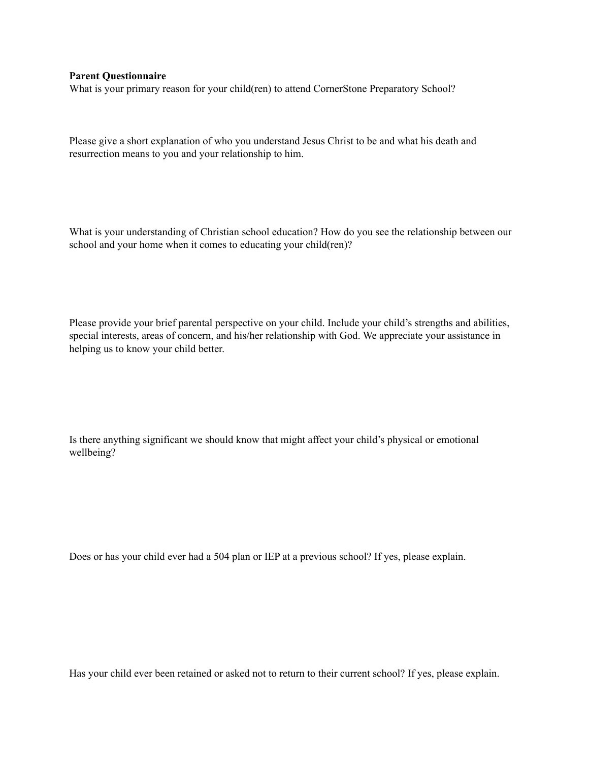#### **Parent Questionnaire**

What is your primary reason for your child(ren) to attend CornerStone Preparatory School?

Please give a short explanation of who you understand Jesus Christ to be and what his death and resurrection means to you and your relationship to him.

What is your understanding of Christian school education? How do you see the relationship between our school and your home when it comes to educating your child(ren)?

Please provide your brief parental perspective on your child. Include your child's strengths and abilities, special interests, areas of concern, and his/her relationship with God. We appreciate your assistance in helping us to know your child better.

Is there anything significant we should know that might affect your child's physical or emotional wellbeing?

Does or has your child ever had a 504 plan or IEP at a previous school? If yes, please explain.

Has your child ever been retained or asked not to return to their current school? If yes, please explain.